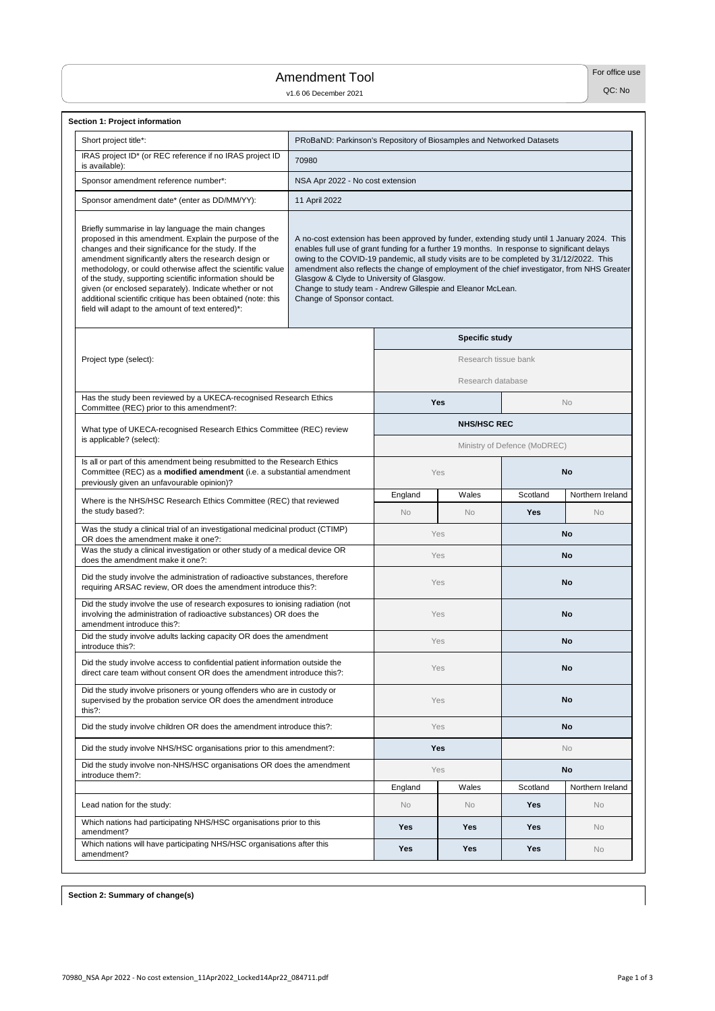**Section 2: Summary of change(s)**

For office use

QC: No

| <b>Section 1: Project information</b>                                                                                                                                                                                                                                                                                                                                                                                                                                                                                                     |                                                                                                                                                                                                                                                                                                                                                                                                                                                                                                                                   |            |                       |                  |                  |  |  |  |  |
|-------------------------------------------------------------------------------------------------------------------------------------------------------------------------------------------------------------------------------------------------------------------------------------------------------------------------------------------------------------------------------------------------------------------------------------------------------------------------------------------------------------------------------------------|-----------------------------------------------------------------------------------------------------------------------------------------------------------------------------------------------------------------------------------------------------------------------------------------------------------------------------------------------------------------------------------------------------------------------------------------------------------------------------------------------------------------------------------|------------|-----------------------|------------------|------------------|--|--|--|--|
| Short project title*:                                                                                                                                                                                                                                                                                                                                                                                                                                                                                                                     | PRoBaND: Parkinson's Repository of Biosamples and Networked Datasets                                                                                                                                                                                                                                                                                                                                                                                                                                                              |            |                       |                  |                  |  |  |  |  |
| IRAS project ID* (or REC reference if no IRAS project ID<br>is available):                                                                                                                                                                                                                                                                                                                                                                                                                                                                | 70980                                                                                                                                                                                                                                                                                                                                                                                                                                                                                                                             |            |                       |                  |                  |  |  |  |  |
| Sponsor amendment reference number*:                                                                                                                                                                                                                                                                                                                                                                                                                                                                                                      | NSA Apr 2022 - No cost extension                                                                                                                                                                                                                                                                                                                                                                                                                                                                                                  |            |                       |                  |                  |  |  |  |  |
| Sponsor amendment date* (enter as DD/MM/YY):                                                                                                                                                                                                                                                                                                                                                                                                                                                                                              | 11 April 2022                                                                                                                                                                                                                                                                                                                                                                                                                                                                                                                     |            |                       |                  |                  |  |  |  |  |
| Briefly summarise in lay language the main changes<br>proposed in this amendment. Explain the purpose of the<br>changes and their significance for the study. If the<br>amendment significantly alters the research design or<br>methodology, or could otherwise affect the scientific value<br>of the study, supporting scientific information should be<br>given (or enclosed separately). Indicate whether or not<br>additional scientific critique has been obtained (note: this<br>field will adapt to the amount of text entered)*: | A no-cost extension has been approved by funder, extending study until 1 January 2024. This<br>enables full use of grant funding for a further 19 months. In response to significant delays<br>owing to the COVID-19 pandemic, all study visits are to be completed by 31/12/2022. This<br>amendment also reflects the change of employment of the chief investigator, from NHS Greater<br>Glasgow & Clyde to University of Glasgow.<br>Change to study team - Andrew Gillespie and Eleanor McLean.<br>Change of Sponsor contact. |            |                       |                  |                  |  |  |  |  |
|                                                                                                                                                                                                                                                                                                                                                                                                                                                                                                                                           |                                                                                                                                                                                                                                                                                                                                                                                                                                                                                                                                   |            | <b>Specific study</b> |                  |                  |  |  |  |  |
| Project type (select):                                                                                                                                                                                                                                                                                                                                                                                                                                                                                                                    |                                                                                                                                                                                                                                                                                                                                                                                                                                                                                                                                   |            | Research tissue bank  |                  |                  |  |  |  |  |
|                                                                                                                                                                                                                                                                                                                                                                                                                                                                                                                                           |                                                                                                                                                                                                                                                                                                                                                                                                                                                                                                                                   |            | Research database     |                  |                  |  |  |  |  |
| Has the study been reviewed by a UKECA-recognised Research Ethics                                                                                                                                                                                                                                                                                                                                                                                                                                                                         |                                                                                                                                                                                                                                                                                                                                                                                                                                                                                                                                   |            | <b>Yes</b>            |                  | <b>No</b>        |  |  |  |  |
| Committee (REC) prior to this amendment?:                                                                                                                                                                                                                                                                                                                                                                                                                                                                                                 |                                                                                                                                                                                                                                                                                                                                                                                                                                                                                                                                   |            |                       |                  |                  |  |  |  |  |
| What type of UKECA-recognised Research Ethics Committee (REC) review<br>is applicable? (select):                                                                                                                                                                                                                                                                                                                                                                                                                                          | <b>NHS/HSC REC</b><br>Ministry of Defence (MoDREC)                                                                                                                                                                                                                                                                                                                                                                                                                                                                                |            |                       |                  |                  |  |  |  |  |
| Is all or part of this amendment being resubmitted to the Research Ethics<br>Committee (REC) as a modified amendment (i.e. a substantial amendment<br>previously given an unfavourable opinion)?                                                                                                                                                                                                                                                                                                                                          |                                                                                                                                                                                                                                                                                                                                                                                                                                                                                                                                   |            | Yes                   | <b>No</b>        |                  |  |  |  |  |
| Where is the NHS/HSC Research Ethics Committee (REC) that reviewed                                                                                                                                                                                                                                                                                                                                                                                                                                                                        | England                                                                                                                                                                                                                                                                                                                                                                                                                                                                                                                           | Wales      | Scotland              | Northern Ireland |                  |  |  |  |  |
| the study based?:                                                                                                                                                                                                                                                                                                                                                                                                                                                                                                                         |                                                                                                                                                                                                                                                                                                                                                                                                                                                                                                                                   | <b>No</b>  | <b>No</b>             | <b>Yes</b>       | <b>No</b>        |  |  |  |  |
| Was the study a clinical trial of an investigational medicinal product (CTIMP)<br>OR does the amendment make it one?:                                                                                                                                                                                                                                                                                                                                                                                                                     |                                                                                                                                                                                                                                                                                                                                                                                                                                                                                                                                   |            | Yes                   | <b>No</b>        |                  |  |  |  |  |
| Was the study a clinical investigation or other study of a medical device OR<br>does the amendment make it one?:                                                                                                                                                                                                                                                                                                                                                                                                                          |                                                                                                                                                                                                                                                                                                                                                                                                                                                                                                                                   |            | Yes                   | <b>No</b>        |                  |  |  |  |  |
| Did the study involve the administration of radioactive substances, therefore<br>requiring ARSAC review, OR does the amendment introduce this?:                                                                                                                                                                                                                                                                                                                                                                                           |                                                                                                                                                                                                                                                                                                                                                                                                                                                                                                                                   |            | Yes                   |                  | <b>No</b>        |  |  |  |  |
| Did the study involve the use of research exposures to ionising radiation (not<br>involving the administration of radioactive substances) OR does the<br>amendment introduce this?:                                                                                                                                                                                                                                                                                                                                                       |                                                                                                                                                                                                                                                                                                                                                                                                                                                                                                                                   |            | Yes                   |                  | <b>No</b>        |  |  |  |  |
| Did the study involve adults lacking capacity OR does the amendment<br>introduce this?:                                                                                                                                                                                                                                                                                                                                                                                                                                                   |                                                                                                                                                                                                                                                                                                                                                                                                                                                                                                                                   |            | Yes                   |                  | <b>No</b>        |  |  |  |  |
| Did the study involve access to confidential patient information outside the<br>direct care team without consent OR does the amendment introduce this?:                                                                                                                                                                                                                                                                                                                                                                                   |                                                                                                                                                                                                                                                                                                                                                                                                                                                                                                                                   |            | Yes                   | <b>No</b>        |                  |  |  |  |  |
| Did the study involve prisoners or young offenders who are in custody or<br>supervised by the probation service OR does the amendment introduce<br>this $?$ :                                                                                                                                                                                                                                                                                                                                                                             |                                                                                                                                                                                                                                                                                                                                                                                                                                                                                                                                   |            | Yes                   | <b>No</b>        |                  |  |  |  |  |
| Did the study involve children OR does the amendment introduce this?:                                                                                                                                                                                                                                                                                                                                                                                                                                                                     |                                                                                                                                                                                                                                                                                                                                                                                                                                                                                                                                   |            | Yes                   |                  | <b>No</b>        |  |  |  |  |
| Did the study involve NHS/HSC organisations prior to this amendment?:                                                                                                                                                                                                                                                                                                                                                                                                                                                                     |                                                                                                                                                                                                                                                                                                                                                                                                                                                                                                                                   |            | <b>Yes</b>            |                  | <b>No</b>        |  |  |  |  |
| Did the study involve non-NHS/HSC organisations OR does the amendment<br>introduce them?:                                                                                                                                                                                                                                                                                                                                                                                                                                                 |                                                                                                                                                                                                                                                                                                                                                                                                                                                                                                                                   |            | Yes                   |                  | <b>No</b>        |  |  |  |  |
|                                                                                                                                                                                                                                                                                                                                                                                                                                                                                                                                           |                                                                                                                                                                                                                                                                                                                                                                                                                                                                                                                                   | England    | Wales                 | Scotland         | Northern Ireland |  |  |  |  |
| Lead nation for the study:                                                                                                                                                                                                                                                                                                                                                                                                                                                                                                                |                                                                                                                                                                                                                                                                                                                                                                                                                                                                                                                                   | No         | <b>No</b>             | <b>Yes</b>       | No               |  |  |  |  |
| Which nations had participating NHS/HSC organisations prior to this<br>amendment?                                                                                                                                                                                                                                                                                                                                                                                                                                                         |                                                                                                                                                                                                                                                                                                                                                                                                                                                                                                                                   | <b>Yes</b> | <b>Yes</b>            | <b>Yes</b>       | No               |  |  |  |  |
| Which nations will have participating NHS/HSC organisations after this                                                                                                                                                                                                                                                                                                                                                                                                                                                                    |                                                                                                                                                                                                                                                                                                                                                                                                                                                                                                                                   |            |                       |                  |                  |  |  |  |  |

## Amendment Tool

v1.6 06 December 2021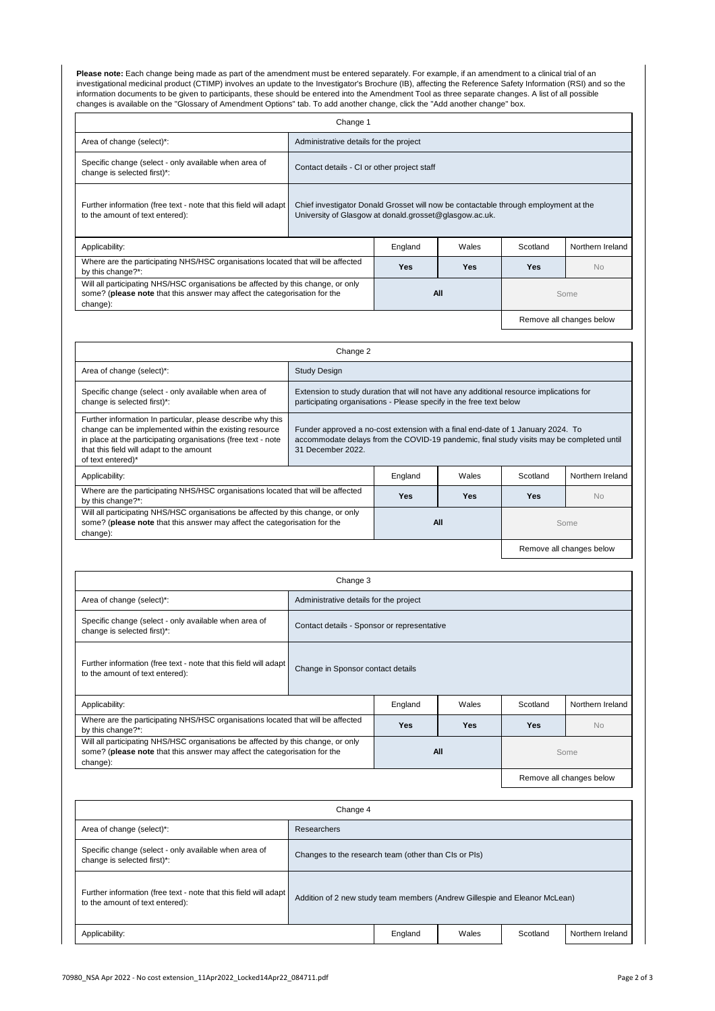**Please note:** Each change being made as part of the amendment must be entered separately. For example, if an amendment to a clinical trial of an investigational medicinal product (CTIMP) involves an update to the Investigator's Brochure (IB), affecting the Reference Safety Information (RSI) and so the information documents to be given to participants, these should be entered into the Amendment Tool as three separate changes. A list of all possible changes is available on the "Glossary of Amendment Options" tab. To add another change, click the "Add another change" box.

| Change 1                                                                                                                                                                  |                                                                                                                                               |                                             |            |            |                          |  |  |  |  |
|---------------------------------------------------------------------------------------------------------------------------------------------------------------------------|-----------------------------------------------------------------------------------------------------------------------------------------------|---------------------------------------------|------------|------------|--------------------------|--|--|--|--|
| Area of change (select)*:<br>Administrative details for the project                                                                                                       |                                                                                                                                               |                                             |            |            |                          |  |  |  |  |
| Specific change (select - only available when area of<br>change is selected first)*:                                                                                      |                                                                                                                                               | Contact details - CI or other project staff |            |            |                          |  |  |  |  |
| Further information (free text - note that this field will adapt<br>to the amount of text entered):                                                                       | Chief investigator Donald Grosset will now be contactable through employment at the<br>University of Glasgow at donald.grosset@glasgow.ac.uk. |                                             |            |            |                          |  |  |  |  |
| Applicability:                                                                                                                                                            |                                                                                                                                               | England                                     | Wales      | Scotland   | Northern Ireland         |  |  |  |  |
| Where are the participating NHS/HSC organisations located that will be affected<br>by this change?*:                                                                      |                                                                                                                                               | <b>Yes</b>                                  | <b>Yes</b> | <b>Yes</b> | <b>No</b>                |  |  |  |  |
| Will all participating NHS/HSC organisations be affected by this change, or only<br>some? (please note that this answer may affect the categorisation for the<br>change): |                                                                                                                                               | All<br>Some                                 |            |            |                          |  |  |  |  |
|                                                                                                                                                                           |                                                                                                                                               |                                             |            |            | Remove all changes below |  |  |  |  |

| Change 2                                                                                                                                                                                                                                                |                                                                                                                                                                                                  |            |            |                  |                          |  |  |  |  |
|---------------------------------------------------------------------------------------------------------------------------------------------------------------------------------------------------------------------------------------------------------|--------------------------------------------------------------------------------------------------------------------------------------------------------------------------------------------------|------------|------------|------------------|--------------------------|--|--|--|--|
| Area of change (select)*:                                                                                                                                                                                                                               | <b>Study Design</b>                                                                                                                                                                              |            |            |                  |                          |  |  |  |  |
| Specific change (select - only available when area of<br>change is selected first)*:                                                                                                                                                                    | Extension to study duration that will not have any additional resource implications for<br>participating organisations - Please specify in the free text below                                   |            |            |                  |                          |  |  |  |  |
| Further information In particular, please describe why this<br>change can be implemented within the existing resource<br>in place at the participating organisations (free text - note<br>that this field will adapt to the amount<br>of text entered)* | Funder approved a no-cost extension with a final end-date of 1 January 2024. To<br>accommodate delays from the COVID-19 pandemic, final study visits may be completed until<br>31 December 2022. |            |            |                  |                          |  |  |  |  |
| Applicability:                                                                                                                                                                                                                                          |                                                                                                                                                                                                  | Wales      | Scotland   | Northern Ireland |                          |  |  |  |  |
| Where are the participating NHS/HSC organisations located that will be affected<br>by this change?*:                                                                                                                                                    |                                                                                                                                                                                                  | <b>Yes</b> | <b>Yes</b> | <b>Yes</b>       | <b>No</b>                |  |  |  |  |
| Will all participating NHS/HSC organisations be affected by this change, or only<br>some? (please note that this answer may affect the categorisation for the<br>change):                                                                               |                                                                                                                                                                                                  | <b>All</b> |            | Some             |                          |  |  |  |  |
|                                                                                                                                                                                                                                                         |                                                                                                                                                                                                  |            |            |                  | Remove all changes below |  |  |  |  |

| Change 3                                                                             |                                             |  |  |  |  |
|--------------------------------------------------------------------------------------|---------------------------------------------|--|--|--|--|
| Area of change (select)*:                                                            | Administrative details for the project      |  |  |  |  |
| Specific change (select - only available when area of<br>change is selected first)*: | Contact details - Sponsor or representative |  |  |  |  |

| Further information (free text - note that this field will adapt<br>to the amount of text entered):                                                                       | Change in Sponsor contact details                                          |                          |            |            |                  |  |  |  |
|---------------------------------------------------------------------------------------------------------------------------------------------------------------------------|----------------------------------------------------------------------------|--------------------------|------------|------------|------------------|--|--|--|
| Applicability:                                                                                                                                                            |                                                                            | England                  | Wales      | Scotland   | Northern Ireland |  |  |  |
| Where are the participating NHS/HSC organisations located that will be affected<br>by this change?*:                                                                      |                                                                            | <b>Yes</b>               | <b>Yes</b> | <b>Yes</b> | <b>No</b>        |  |  |  |
| Will all participating NHS/HSC organisations be affected by this change, or only<br>some? (please note that this answer may affect the categorisation for the<br>change): |                                                                            | <b>All</b>               | Some       |            |                  |  |  |  |
|                                                                                                                                                                           |                                                                            | Remove all changes below |            |            |                  |  |  |  |
|                                                                                                                                                                           | Change 4                                                                   |                          |            |            |                  |  |  |  |
| Area of change (select)*:                                                                                                                                                 | <b>Researchers</b>                                                         |                          |            |            |                  |  |  |  |
| Specific change (select - only available when area of<br>change is selected first)*:                                                                                      | Changes to the research team (other than CIs or PIs)                       |                          |            |            |                  |  |  |  |
| Further information (free text - note that this field will adapt<br>to the amount of text entered):                                                                       | Addition of 2 new study team members (Andrew Gillespie and Eleanor McLean) |                          |            |            |                  |  |  |  |
| Northern Ireland<br>Applicability:<br>England<br>Wales<br>Scotland                                                                                                        |                                                                            |                          |            |            |                  |  |  |  |